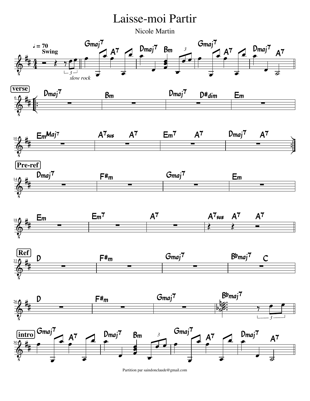

Partition par saindonclaude@gmail.com